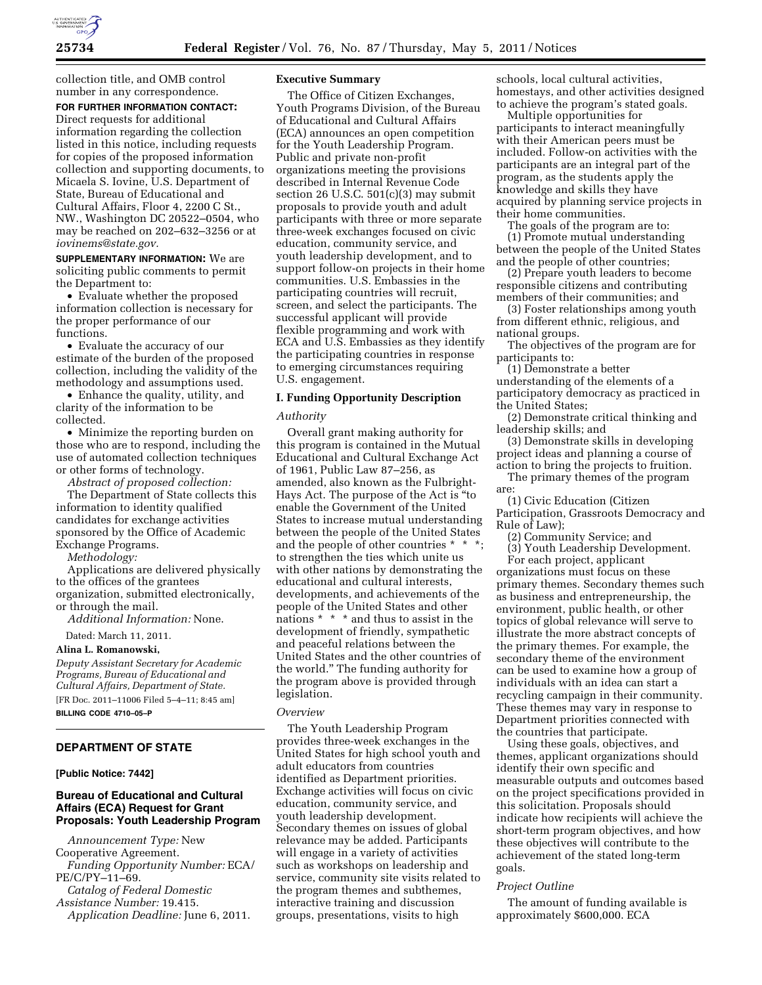

collection title, and OMB control number in any correspondence.

## **FOR FURTHER INFORMATION CONTACT:**  Direct requests for additional

information regarding the collection listed in this notice, including requests for copies of the proposed information collection and supporting documents, to Micaela S. Iovine, U.S. Department of State, Bureau of Educational and Cultural Affairs, Floor 4, 2200 C St., NW., Washington DC 20522–0504, who may be reached on 202–632–3256 or at *[iovinems@state.gov.](mailto:iovinems@state.gov)* 

**SUPPLEMENTARY INFORMATION:** We are soliciting public comments to permit the Department to:

• Evaluate whether the proposed information collection is necessary for the proper performance of our functions.

• Evaluate the accuracy of our estimate of the burden of the proposed collection, including the validity of the methodology and assumptions used.

• Enhance the quality, utility, and clarity of the information to be collected.

• Minimize the reporting burden on those who are to respond, including the use of automated collection techniques or other forms of technology.

*Abstract of proposed collection:* 

The Department of State collects this information to identity qualified candidates for exchange activities sponsored by the Office of Academic Exchange Programs.

*Methodology:* 

Applications are delivered physically to the offices of the grantees organization, submitted electronically, or through the mail.

*Additional Information:* None.

Dated: March 11, 2011.

#### **Alina L. Romanowski,**

*Deputy Assistant Secretary for Academic Programs, Bureau of Educational and Cultural Affairs, Department of State.*  [FR Doc. 2011–11006 Filed 5–4–11; 8:45 am]

**BILLING CODE 4710–05–P** 

### **DEPARTMENT OF STATE**

#### **[Public Notice: 7442]**

## **Bureau of Educational and Cultural Affairs (ECA) Request for Grant Proposals: Youth Leadership Program**

*Announcement Type:* New

Cooperative Agreement. *Funding Opportunity Number:* ECA/ PE/C/PY–11–69.

*Catalog of Federal Domestic Assistance Number:* 19.415. *Application Deadline:* June 6, 2011.

### **Executive Summary**

The Office of Citizen Exchanges, Youth Programs Division, of the Bureau of Educational and Cultural Affairs (ECA) announces an open competition for the Youth Leadership Program. Public and private non-profit organizations meeting the provisions described in Internal Revenue Code section 26 U.S.C.  $501(c)(3)$  may submit proposals to provide youth and adult participants with three or more separate three-week exchanges focused on civic education, community service, and youth leadership development, and to support follow-on projects in their home communities. U.S. Embassies in the participating countries will recruit, screen, and select the participants. The successful applicant will provide flexible programming and work with ECA and U.S. Embassies as they identify the participating countries in response to emerging circumstances requiring U.S. engagement.

# **I. Funding Opportunity Description**

## *Authority*

Overall grant making authority for this program is contained in the Mutual Educational and Cultural Exchange Act of 1961, Public Law 87–256, as amended, also known as the Fulbright-Hays Act. The purpose of the Act is ''to enable the Government of the United States to increase mutual understanding between the people of the United States and the people of other countries \* \* to strengthen the ties which unite us with other nations by demonstrating the educational and cultural interests, developments, and achievements of the people of the United States and other nations \* \* \* and thus to assist in the development of friendly, sympathetic and peaceful relations between the United States and the other countries of the world.'' The funding authority for the program above is provided through legislation.

#### *Overview*

The Youth Leadership Program provides three-week exchanges in the United States for high school youth and adult educators from countries identified as Department priorities. Exchange activities will focus on civic education, community service, and youth leadership development. Secondary themes on issues of global relevance may be added. Participants will engage in a variety of activities such as workshops on leadership and service, community site visits related to the program themes and subthemes, interactive training and discussion groups, presentations, visits to high

schools, local cultural activities, homestays, and other activities designed to achieve the program's stated goals.

Multiple opportunities for participants to interact meaningfully with their American peers must be included. Follow-on activities with the participants are an integral part of the program, as the students apply the knowledge and skills they have acquired by planning service projects in their home communities.

The goals of the program are to: (1) Promote mutual understanding between the people of the United States and the people of other countries;

(2) Prepare youth leaders to become responsible citizens and contributing members of their communities; and

(3) Foster relationships among youth from different ethnic, religious, and national groups.

The objectives of the program are for participants to:

(1) Demonstrate a better understanding of the elements of a participatory democracy as practiced in the United States;

(2) Demonstrate critical thinking and leadership skills; and

(3) Demonstrate skills in developing project ideas and planning a course of action to bring the projects to fruition.

The primary themes of the program are:

(1) Civic Education (Citizen Participation, Grassroots Democracy and Rule of Law);

(2) Community Service; and

(3) Youth Leadership Development. For each project, applicant organizations must focus on these primary themes. Secondary themes such as business and entrepreneurship, the environment, public health, or other topics of global relevance will serve to illustrate the more abstract concepts of the primary themes. For example, the secondary theme of the environment can be used to examine how a group of individuals with an idea can start a recycling campaign in their community. These themes may vary in response to Department priorities connected with the countries that participate.

Using these goals, objectives, and themes, applicant organizations should identify their own specific and measurable outputs and outcomes based on the project specifications provided in this solicitation. Proposals should indicate how recipients will achieve the short-term program objectives, and how these objectives will contribute to the achievement of the stated long-term goals.

### *Project Outline*

The amount of funding available is approximately \$600,000. ECA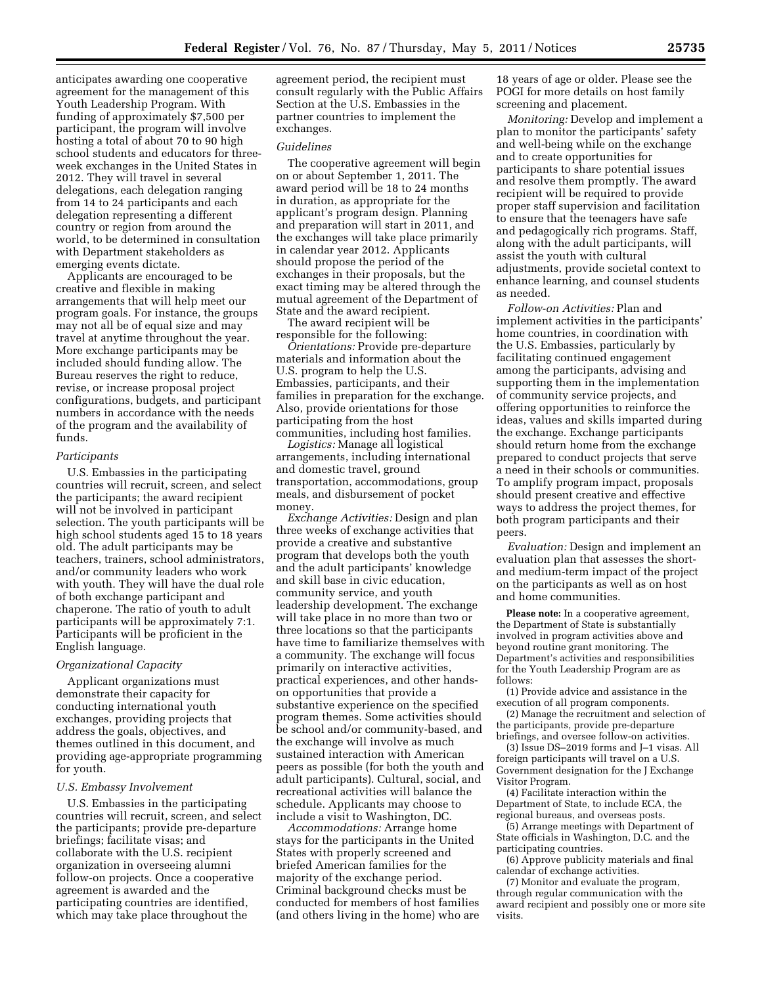anticipates awarding one cooperative agreement for the management of this Youth Leadership Program. With funding of approximately \$7,500 per participant, the program will involve hosting a total of about 70 to 90 high school students and educators for threeweek exchanges in the United States in 2012. They will travel in several delegations, each delegation ranging from 14 to 24 participants and each delegation representing a different country or region from around the world, to be determined in consultation with Department stakeholders as emerging events dictate.

Applicants are encouraged to be creative and flexible in making arrangements that will help meet our program goals. For instance, the groups may not all be of equal size and may travel at anytime throughout the year. More exchange participants may be included should funding allow. The Bureau reserves the right to reduce, revise, or increase proposal project configurations, budgets, and participant numbers in accordance with the needs of the program and the availability of funds.

### *Participants*

U.S. Embassies in the participating countries will recruit, screen, and select the participants; the award recipient will not be involved in participant selection. The youth participants will be high school students aged 15 to 18 years old. The adult participants may be teachers, trainers, school administrators, and/or community leaders who work with youth. They will have the dual role of both exchange participant and chaperone. The ratio of youth to adult participants will be approximately 7:1. Participants will be proficient in the English language.

#### *Organizational Capacity*

Applicant organizations must demonstrate their capacity for conducting international youth exchanges, providing projects that address the goals, objectives, and themes outlined in this document, and providing age-appropriate programming for youth.

### *U.S. Embassy Involvement*

U.S. Embassies in the participating countries will recruit, screen, and select the participants; provide pre-departure briefings; facilitate visas; and collaborate with the U.S. recipient organization in overseeing alumni follow-on projects. Once a cooperative agreement is awarded and the participating countries are identified, which may take place throughout the

agreement period, the recipient must consult regularly with the Public Affairs Section at the U.S. Embassies in the partner countries to implement the exchanges.

#### *Guidelines*

The cooperative agreement will begin on or about September 1, 2011. The award period will be 18 to 24 months in duration, as appropriate for the applicant's program design. Planning and preparation will start in 2011, and the exchanges will take place primarily in calendar year 2012. Applicants should propose the period of the exchanges in their proposals, but the exact timing may be altered through the mutual agreement of the Department of State and the award recipient.

The award recipient will be responsible for the following:

*Orientations:* Provide pre-departure materials and information about the U.S. program to help the U.S. Embassies, participants, and their families in preparation for the exchange. Also, provide orientations for those participating from the host communities, including host families.

*Logistics:* Manage all logistical arrangements, including international and domestic travel, ground transportation, accommodations, group meals, and disbursement of pocket money.

*Exchange Activities:* Design and plan three weeks of exchange activities that provide a creative and substantive program that develops both the youth and the adult participants' knowledge and skill base in civic education, community service, and youth leadership development. The exchange will take place in no more than two or three locations so that the participants have time to familiarize themselves with a community. The exchange will focus primarily on interactive activities, practical experiences, and other handson opportunities that provide a substantive experience on the specified program themes. Some activities should be school and/or community-based, and the exchange will involve as much sustained interaction with American peers as possible (for both the youth and adult participants). Cultural, social, and recreational activities will balance the schedule. Applicants may choose to include a visit to Washington, DC.

*Accommodations:* Arrange home stays for the participants in the United States with properly screened and briefed American families for the majority of the exchange period. Criminal background checks must be conducted for members of host families (and others living in the home) who are

18 years of age or older. Please see the POGI for more details on host family screening and placement.

*Monitoring:* Develop and implement a plan to monitor the participants' safety and well-being while on the exchange and to create opportunities for participants to share potential issues and resolve them promptly. The award recipient will be required to provide proper staff supervision and facilitation to ensure that the teenagers have safe and pedagogically rich programs. Staff, along with the adult participants, will assist the youth with cultural adjustments, provide societal context to enhance learning, and counsel students as needed.

*Follow-on Activities:* Plan and implement activities in the participants' home countries, in coordination with the U.S. Embassies, particularly by facilitating continued engagement among the participants, advising and supporting them in the implementation of community service projects, and offering opportunities to reinforce the ideas, values and skills imparted during the exchange. Exchange participants should return home from the exchange prepared to conduct projects that serve a need in their schools or communities. To amplify program impact, proposals should present creative and effective ways to address the project themes, for both program participants and their peers.

*Evaluation:* Design and implement an evaluation plan that assesses the shortand medium-term impact of the project on the participants as well as on host and home communities.

**Please note:** In a cooperative agreement, the Department of State is substantially involved in program activities above and beyond routine grant monitoring. The Department's activities and responsibilities for the Youth Leadership Program are as follows:

(1) Provide advice and assistance in the execution of all program components.

(2) Manage the recruitment and selection of the participants, provide pre-departure briefings, and oversee follow-on activities.

(3) Issue DS–2019 forms and J–1 visas. All foreign participants will travel on a U.S. Government designation for the J Exchange Visitor Program.

(4) Facilitate interaction within the Department of State, to include ECA, the regional bureaus, and overseas posts.

(5) Arrange meetings with Department of State officials in Washington, D.C. and the participating countries.

(6) Approve publicity materials and final calendar of exchange activities.

(7) Monitor and evaluate the program, through regular communication with the award recipient and possibly one or more site visits.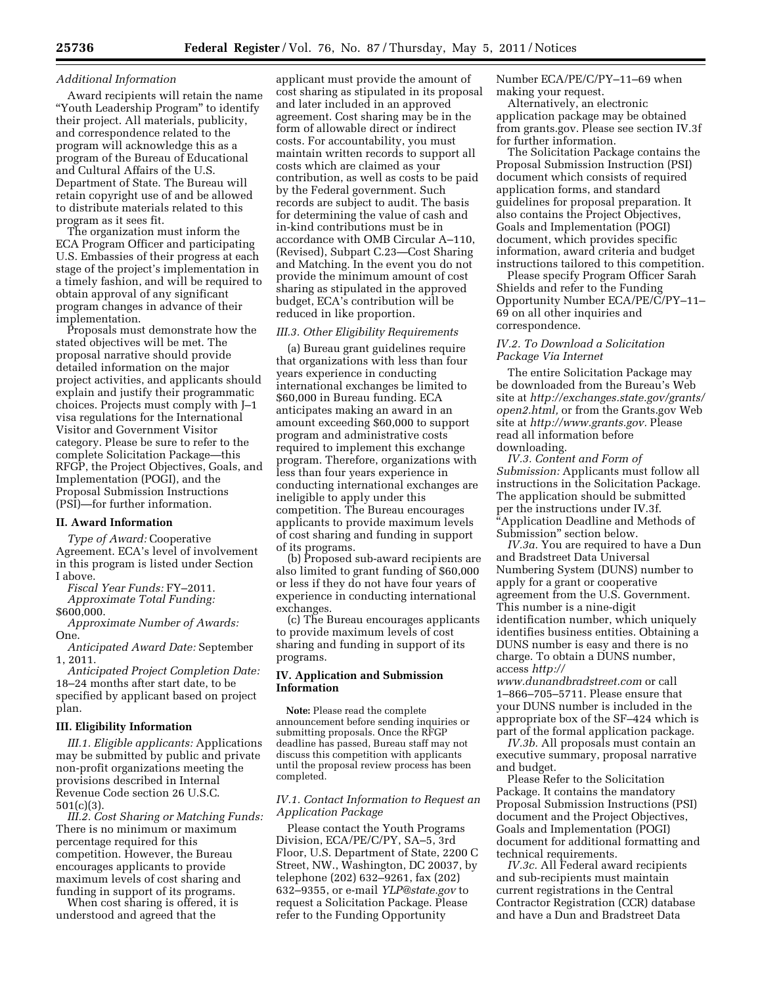## *Additional Information*

Award recipients will retain the name ''Youth Leadership Program'' to identify their project. All materials, publicity, and correspondence related to the program will acknowledge this as a program of the Bureau of Educational and Cultural Affairs of the U.S. Department of State. The Bureau will retain copyright use of and be allowed to distribute materials related to this program as it sees fit.

The organization must inform the ECA Program Officer and participating U.S. Embassies of their progress at each stage of the project's implementation in a timely fashion, and will be required to obtain approval of any significant program changes in advance of their implementation.

Proposals must demonstrate how the stated objectives will be met. The proposal narrative should provide detailed information on the major project activities, and applicants should explain and justify their programmatic choices. Projects must comply with J–1 visa regulations for the International Visitor and Government Visitor category. Please be sure to refer to the complete Solicitation Package—this RFGP, the Project Objectives, Goals, and Implementation (POGI), and the Proposal Submission Instructions (PSI)—for further information.

## **II. Award Information**

*Type of Award:* Cooperative Agreement. ECA's level of involvement in this program is listed under Section I above.

*Fiscal Year Funds:* FY–2011.

*Approximate Total Funding:*  \$600,000.

*Approximate Number of Awards:*  One.

*Anticipated Award Date:* September 1, 2011.

*Anticipated Project Completion Date:*  18–24 months after start date, to be specified by applicant based on project plan.

# **III. Eligibility Information**

*III.1. Eligible applicants:* Applications may be submitted by public and private non-profit organizations meeting the provisions described in Internal Revenue Code section 26 U.S.C. 501(c)(3).

*III.2. Cost Sharing or Matching Funds:*  There is no minimum or maximum percentage required for this competition. However, the Bureau encourages applicants to provide maximum levels of cost sharing and funding in support of its programs.

When cost sharing is offered, it is understood and agreed that the

applicant must provide the amount of cost sharing as stipulated in its proposal and later included in an approved agreement. Cost sharing may be in the form of allowable direct or indirect costs. For accountability, you must maintain written records to support all costs which are claimed as your contribution, as well as costs to be paid by the Federal government. Such records are subject to audit. The basis for determining the value of cash and in-kind contributions must be in accordance with OMB Circular A–110, (Revised), Subpart C.23—Cost Sharing and Matching. In the event you do not provide the minimum amount of cost sharing as stipulated in the approved budget, ECA's contribution will be reduced in like proportion.

#### *III.3. Other Eligibility Requirements*

(a) Bureau grant guidelines require that organizations with less than four years experience in conducting international exchanges be limited to \$60,000 in Bureau funding. ECA anticipates making an award in an amount exceeding \$60,000 to support program and administrative costs required to implement this exchange program. Therefore, organizations with less than four years experience in conducting international exchanges are ineligible to apply under this competition. The Bureau encourages applicants to provide maximum levels of cost sharing and funding in support of its programs.

(b) Proposed sub-award recipients are also limited to grant funding of \$60,000 or less if they do not have four years of experience in conducting international exchanges.

(c) The Bureau encourages applicants to provide maximum levels of cost sharing and funding in support of its programs.

# **IV. Application and Submission Information**

**Note:** Please read the complete announcement before sending inquiries or submitting proposals. Once the RFGP deadline has passed, Bureau staff may not discuss this competition with applicants until the proposal review process has been completed.

## *IV.1. Contact Information to Request an Application Package*

Please contact the Youth Programs Division, ECA/PE/C/PY, SA–5, 3rd Floor, U.S. Department of State, 2200 C Street, NW., Washington, DC 20037, by telephone (202) 632–9261, fax (202) 632–9355, or e-mail *[YLP@state.gov](mailto:YLP@state.gov)* to request a Solicitation Package. Please refer to the Funding Opportunity

Number ECA/PE/C/PY–11–69 when making your request.

Alternatively, an electronic application package may be obtained from grants.gov. Please see section IV.3f for further information.

The Solicitation Package contains the Proposal Submission Instruction (PSI) document which consists of required application forms, and standard guidelines for proposal preparation. It also contains the Project Objectives, Goals and Implementation (POGI) document, which provides specific information, award criteria and budget instructions tailored to this competition.

Please specify Program Officer Sarah Shields and refer to the Funding Opportunity Number ECA/PE/C/PY–11– 69 on all other inquiries and correspondence.

## *IV.2. To Download a Solicitation Package Via Internet*

The entire Solicitation Package may be downloaded from the Bureau's Web site at *[http://exchanges.state.gov/grants/](http://exchanges.state.gov/grants/open2.html)  [open2.html,](http://exchanges.state.gov/grants/open2.html)* or from the Grants.gov Web site at *[http://www.grants.gov.](http://www.grants.gov)* Please read all information before downloading.

*IV.3. Content and Form of Submission:* Applicants must follow all instructions in the Solicitation Package. The application should be submitted per the instructions under IV.3f. ''Application Deadline and Methods of Submission'' section below.

*IV.3a.* You are required to have a Dun and Bradstreet Data Universal Numbering System (DUNS) number to apply for a grant or cooperative agreement from the U.S. Government. This number is a nine-digit identification number, which uniquely identifies business entities. Obtaining a DUNS number is easy and there is no charge. To obtain a DUNS number, access *[http://](http://www.dunandbradstreet.com)* 

*[www.dunandbradstreet.com](http://www.dunandbradstreet.com)* or call 1–866–705–5711. Please ensure that your DUNS number is included in the appropriate box of the SF–424 which is part of the formal application package.

*IV.3b.* All proposals must contain an executive summary, proposal narrative and budget.

Please Refer to the Solicitation Package. It contains the mandatory Proposal Submission Instructions (PSI) document and the Project Objectives, Goals and Implementation (POGI) document for additional formatting and technical requirements.

*IV.3c.* All Federal award recipients and sub-recipients must maintain current registrations in the Central Contractor Registration (CCR) database and have a Dun and Bradstreet Data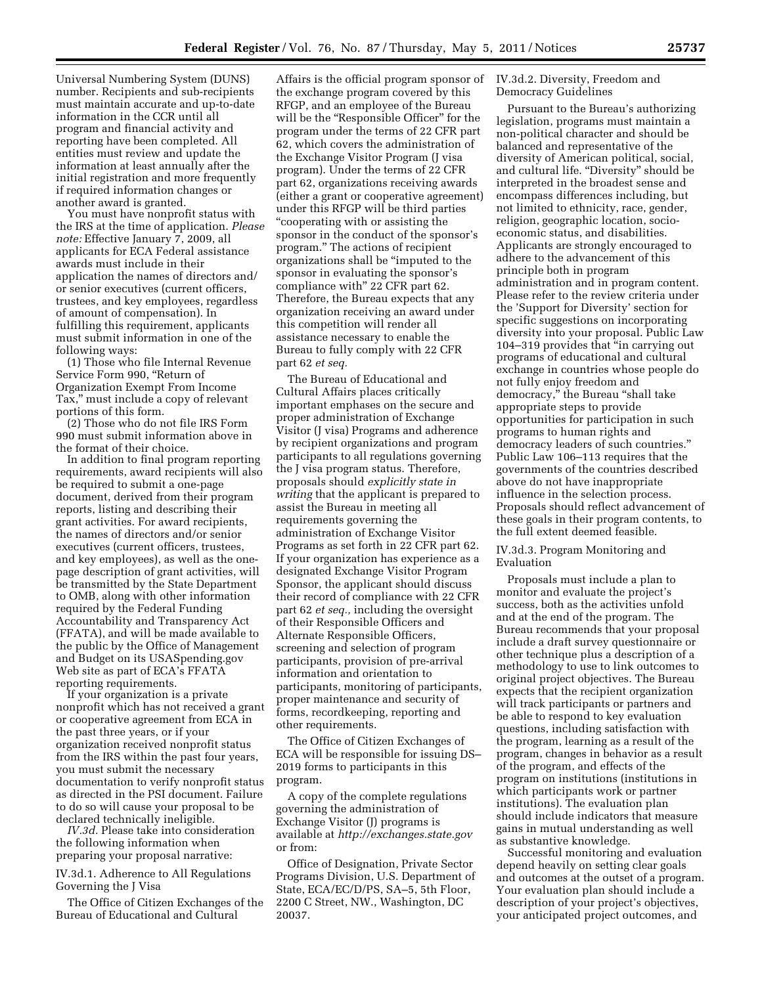Universal Numbering System (DUNS) number. Recipients and sub-recipients must maintain accurate and up-to-date information in the CCR until all program and financial activity and reporting have been completed. All entities must review and update the information at least annually after the initial registration and more frequently if required information changes or another award is granted.

You must have nonprofit status with the IRS at the time of application. *Please note:* Effective January 7, 2009, all applicants for ECA Federal assistance awards must include in their application the names of directors and/ or senior executives (current officers, trustees, and key employees, regardless of amount of compensation). In fulfilling this requirement, applicants must submit information in one of the following ways:

(1) Those who file Internal Revenue Service Form 990, "Return of Organization Exempt From Income Tax,'' must include a copy of relevant portions of this form.

(2) Those who do not file IRS Form 990 must submit information above in the format of their choice.

In addition to final program reporting requirements, award recipients will also be required to submit a one-page document, derived from their program reports, listing and describing their grant activities. For award recipients, the names of directors and/or senior executives (current officers, trustees, and key employees), as well as the onepage description of grant activities, will be transmitted by the State Department to OMB, along with other information required by the Federal Funding Accountability and Transparency Act (FFATA), and will be made available to the public by the Office of Management and Budget on its USASpending.gov Web site as part of ECA's FFATA reporting requirements.

If your organization is a private nonprofit which has not received a grant or cooperative agreement from ECA in the past three years, or if your organization received nonprofit status from the IRS within the past four years, you must submit the necessary documentation to verify nonprofit status as directed in the PSI document. Failure to do so will cause your proposal to be declared technically ineligible.

*IV.3d.* Please take into consideration the following information when preparing your proposal narrative:

IV.3d.1. Adherence to All Regulations Governing the J Visa

The Office of Citizen Exchanges of the Bureau of Educational and Cultural

Affairs is the official program sponsor of the exchange program covered by this RFGP, and an employee of the Bureau will be the "Responsible Officer" for the program under the terms of 22 CFR part 62, which covers the administration of the Exchange Visitor Program (J visa program). Under the terms of 22 CFR part 62, organizations receiving awards (either a grant or cooperative agreement) under this RFGP will be third parties ''cooperating with or assisting the sponsor in the conduct of the sponsor's program.'' The actions of recipient organizations shall be ''imputed to the sponsor in evaluating the sponsor's compliance with'' 22 CFR part 62. Therefore, the Bureau expects that any organization receiving an award under this competition will render all assistance necessary to enable the Bureau to fully comply with 22 CFR part 62 *et seq.* 

The Bureau of Educational and Cultural Affairs places critically important emphases on the secure and proper administration of Exchange Visitor (J visa) Programs and adherence by recipient organizations and program participants to all regulations governing the J visa program status. Therefore, proposals should *explicitly state in writing* that the applicant is prepared to assist the Bureau in meeting all requirements governing the administration of Exchange Visitor Programs as set forth in 22 CFR part 62. If your organization has experience as a designated Exchange Visitor Program Sponsor, the applicant should discuss their record of compliance with 22 CFR part 62 *et seq.,* including the oversight of their Responsible Officers and Alternate Responsible Officers, screening and selection of program participants, provision of pre-arrival information and orientation to participants, monitoring of participants, proper maintenance and security of forms, recordkeeping, reporting and other requirements.

The Office of Citizen Exchanges of ECA will be responsible for issuing DS– 2019 forms to participants in this program.

A copy of the complete regulations governing the administration of Exchange Visitor (J) programs is available at *<http://exchanges.state.gov>* or from:

Office of Designation, Private Sector Programs Division, U.S. Department of State, ECA/EC/D/PS, SA–5, 5th Floor, 2200 C Street, NW., Washington, DC 20037.

## IV.3d.2. Diversity, Freedom and Democracy Guidelines

Pursuant to the Bureau's authorizing legislation, programs must maintain a non-political character and should be balanced and representative of the diversity of American political, social, and cultural life. ''Diversity'' should be interpreted in the broadest sense and encompass differences including, but not limited to ethnicity, race, gender, religion, geographic location, socioeconomic status, and disabilities. Applicants are strongly encouraged to adhere to the advancement of this principle both in program administration and in program content. Please refer to the review criteria under the 'Support for Diversity' section for specific suggestions on incorporating diversity into your proposal. Public Law 104–319 provides that ''in carrying out programs of educational and cultural exchange in countries whose people do not fully enjoy freedom and democracy,'' the Bureau ''shall take appropriate steps to provide opportunities for participation in such programs to human rights and democracy leaders of such countries.'' Public Law 106–113 requires that the governments of the countries described above do not have inappropriate influence in the selection process. Proposals should reflect advancement of these goals in their program contents, to the full extent deemed feasible.

#### IV.3d.3. Program Monitoring and Evaluation

Proposals must include a plan to monitor and evaluate the project's success, both as the activities unfold and at the end of the program. The Bureau recommends that your proposal include a draft survey questionnaire or other technique plus a description of a methodology to use to link outcomes to original project objectives. The Bureau expects that the recipient organization will track participants or partners and be able to respond to key evaluation questions, including satisfaction with the program, learning as a result of the program, changes in behavior as a result of the program, and effects of the program on institutions (institutions in which participants work or partner institutions). The evaluation plan should include indicators that measure gains in mutual understanding as well as substantive knowledge.

Successful monitoring and evaluation depend heavily on setting clear goals and outcomes at the outset of a program. Your evaluation plan should include a description of your project's objectives, your anticipated project outcomes, and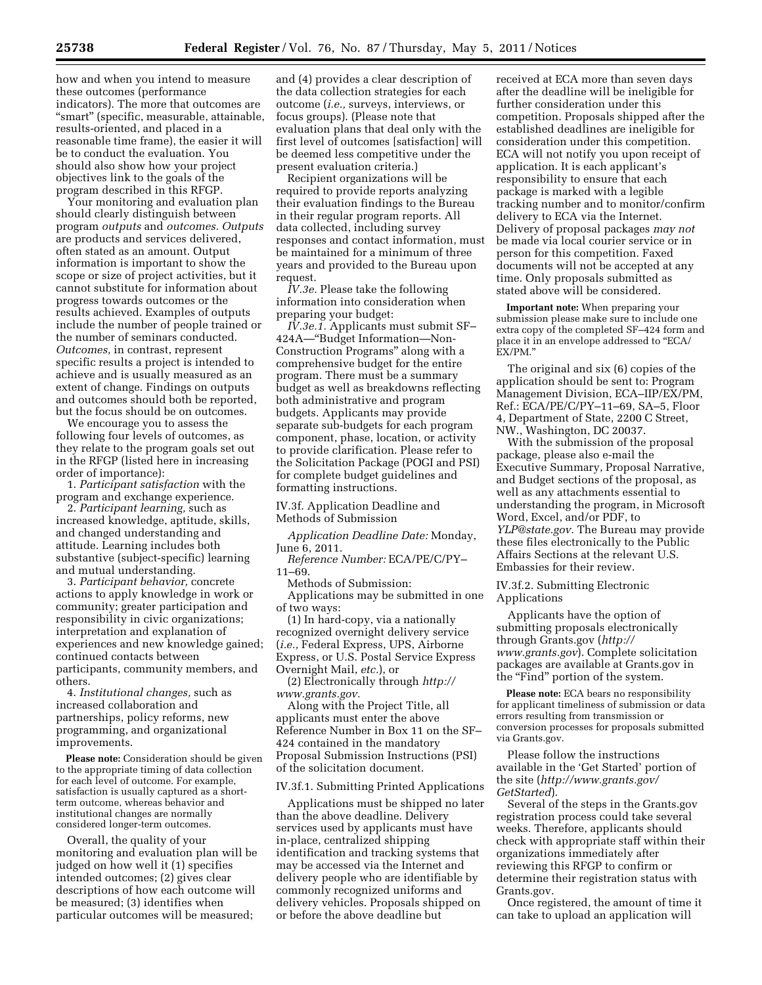how and when you intend to measure these outcomes (performance indicators). The more that outcomes are "smart" (specific, measurable, attainable, results-oriented, and placed in a reasonable time frame), the easier it will be to conduct the evaluation. You should also show how your project objectives link to the goals of the program described in this RFGP.

Your monitoring and evaluation plan should clearly distinguish between program *outputs* and *outcomes. Outputs*  are products and services delivered, often stated as an amount. Output information is important to show the scope or size of project activities, but it cannot substitute for information about progress towards outcomes or the results achieved. Examples of outputs include the number of people trained or the number of seminars conducted. *Outcomes,* in contrast, represent specific results a project is intended to achieve and is usually measured as an extent of change. Findings on outputs and outcomes should both be reported, but the focus should be on outcomes.

We encourage you to assess the following four levels of outcomes, as they relate to the program goals set out in the RFGP (listed here in increasing order of importance):

1. *Participant satisfaction* with the program and exchange experience.

2. *Participant learning,* such as increased knowledge, aptitude, skills, and changed understanding and attitude. Learning includes both substantive (subject-specific) learning and mutual understanding.

3. *Participant behavior,* concrete actions to apply knowledge in work or community; greater participation and responsibility in civic organizations; interpretation and explanation of experiences and new knowledge gained; continued contacts between participants, community members, and others.

4. *Institutional changes,* such as increased collaboration and partnerships, policy reforms, new programming, and organizational improvements.

**Please note:** Consideration should be given to the appropriate timing of data collection for each level of outcome. For example, satisfaction is usually captured as a shortterm outcome, whereas behavior and institutional changes are normally considered longer-term outcomes.

Overall, the quality of your monitoring and evaluation plan will be judged on how well it (1) specifies intended outcomes; (2) gives clear descriptions of how each outcome will be measured; (3) identifies when particular outcomes will be measured;

and (4) provides a clear description of the data collection strategies for each outcome (*i.e.,* surveys, interviews, or focus groups). (Please note that evaluation plans that deal only with the first level of outcomes [satisfaction] will be deemed less competitive under the present evaluation criteria.)

Recipient organizations will be required to provide reports analyzing their evaluation findings to the Bureau in their regular program reports. All data collected, including survey responses and contact information, must be maintained for a minimum of three years and provided to the Bureau upon request.

*IV.3e.* Please take the following information into consideration when preparing your budget:

*IV.3e.1.* Applicants must submit SF– 424A—''Budget Information—Non-Construction Programs'' along with a comprehensive budget for the entire program. There must be a summary budget as well as breakdowns reflecting both administrative and program budgets. Applicants may provide separate sub-budgets for each program component, phase, location, or activity to provide clarification. Please refer to the Solicitation Package (POGI and PSI) for complete budget guidelines and formatting instructions.

IV.3f. Application Deadline and Methods of Submission

*Application Deadline Date:* Monday, June 6, 2011.

*Reference Number:* ECA/PE/C/PY– 11–69.

Methods of Submission:

Applications may be submitted in one of two ways:

(1) In hard-copy, via a nationally recognized overnight delivery service (*i.e.,* Federal Express, UPS, Airborne Express, or U.S. Postal Service Express Overnight Mail, *etc.*), or

(2) Electronically through *[http://](http://www.grants.gov)  [www.grants.gov.](http://www.grants.gov)* 

Along with the Project Title, all applicants must enter the above Reference Number in Box 11 on the SF– 424 contained in the mandatory Proposal Submission Instructions (PSI) of the solicitation document.

### IV.3f.1. Submitting Printed Applications

Applications must be shipped no later than the above deadline. Delivery services used by applicants must have in-place, centralized shipping identification and tracking systems that may be accessed via the Internet and delivery people who are identifiable by commonly recognized uniforms and delivery vehicles. Proposals shipped on or before the above deadline but

received at ECA more than seven days after the deadline will be ineligible for further consideration under this competition. Proposals shipped after the established deadlines are ineligible for consideration under this competition. ECA will not notify you upon receipt of application. It is each applicant's responsibility to ensure that each package is marked with a legible tracking number and to monitor/confirm delivery to ECA via the Internet. Delivery of proposal packages *may not*  be made via local courier service or in person for this competition. Faxed documents will not be accepted at any time. Only proposals submitted as stated above will be considered.

**Important note:** When preparing your submission please make sure to include one extra copy of the completed SF–424 form and place it in an envelope addressed to "ECA/ EX/PM.''

The original and six (6) copies of the application should be sent to: Program Management Division, ECA–IIP/EX/PM, Ref.: ECA/PE/C/PY–11–69, SA–5, Floor 4, Department of State, 2200 C Street, NW., Washington, DC 20037.

With the submission of the proposal package, please also e-mail the Executive Summary, Proposal Narrative, and Budget sections of the proposal, as well as any attachments essential to understanding the program, in Microsoft Word, Excel, and/or PDF, to *[YLP@state.gov.](mailto:YLP@state.gov)* The Bureau may provide these files electronically to the Public Affairs Sections at the relevant U.S. Embassies for their review.

IV.3f.2. Submitting Electronic Applications

Applicants have the option of submitting proposals electronically through Grants.gov (*[http://](http://www.grants.gov)  [www.grants.gov](http://www.grants.gov)*). Complete solicitation packages are available at Grants.gov in the "Find" portion of the system.

**Please note:** ECA bears no responsibility for applicant timeliness of submission or data errors resulting from transmission or conversion processes for proposals submitted via Grants.gov.

Please follow the instructions available in the 'Get Started' portion of the site (*[http://www.grants.gov/](http://www.grants.gov/GetStarted)  [GetStarted](http://www.grants.gov/GetStarted)*).

Several of the steps in the Grants.gov registration process could take several weeks. Therefore, applicants should check with appropriate staff within their organizations immediately after reviewing this RFGP to confirm or determine their registration status with Grants.gov.

Once registered, the amount of time it can take to upload an application will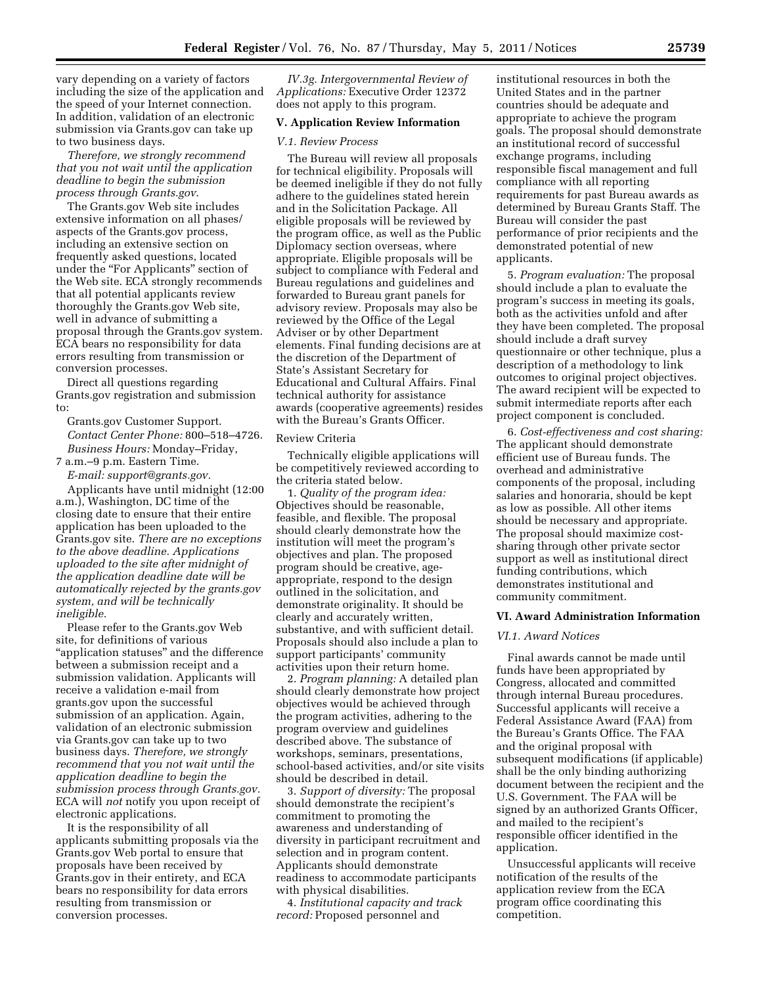vary depending on a variety of factors including the size of the application and the speed of your Internet connection. In addition, validation of an electronic submission via Grants.gov can take up to two business days.

*Therefore, we strongly recommend that you not wait until the application deadline to begin the submission process through Grants.gov*.

The Grants.gov Web site includes extensive information on all phases/ aspects of the Grants.gov process, including an extensive section on frequently asked questions, located under the "For Applicants" section of the Web site. ECA strongly recommends that all potential applicants review thoroughly the Grants.gov Web site, well in advance of submitting a proposal through the Grants.gov system. ECA bears no responsibility for data errors resulting from transmission or conversion processes.

Direct all questions regarding Grants.gov registration and submission to:

Grants.gov Customer Support. *Contact Center Phone:* 800–518–4726. *Business Hours:* Monday–Friday,

7 a.m.–9 p.m. Eastern Time.

*E-mail: [support@grants.gov.](mailto:support@grants.gov)*  Applicants have until midnight (12:00 a.m.), Washington, DC time of the closing date to ensure that their entire application has been uploaded to the Grants.gov site. *There are no exceptions to the above deadline. Applications uploaded to the site after midnight of the application deadline date will be automatically rejected by the grants.gov system, and will be technically ineligible.* 

Please refer to the Grants.gov Web site, for definitions of various ''application statuses'' and the difference between a submission receipt and a submission validation. Applicants will receive a validation e-mail from grants.gov upon the successful submission of an application. Again, validation of an electronic submission via Grants.gov can take up to two business days. *Therefore, we strongly recommend that you not wait until the application deadline to begin the submission process through Grants.gov.*  ECA will *not* notify you upon receipt of electronic applications.

It is the responsibility of all applicants submitting proposals via the Grants.gov Web portal to ensure that proposals have been received by Grants.gov in their entirety, and ECA bears no responsibility for data errors resulting from transmission or conversion processes.

*IV.3g. Intergovernmental Review of Applications:* Executive Order 12372 does not apply to this program.

## **V. Application Review Information**

### *V.1. Review Process*

The Bureau will review all proposals for technical eligibility. Proposals will be deemed ineligible if they do not fully adhere to the guidelines stated herein and in the Solicitation Package. All eligible proposals will be reviewed by the program office, as well as the Public Diplomacy section overseas, where appropriate. Eligible proposals will be subject to compliance with Federal and Bureau regulations and guidelines and forwarded to Bureau grant panels for advisory review. Proposals may also be reviewed by the Office of the Legal Adviser or by other Department elements. Final funding decisions are at the discretion of the Department of State's Assistant Secretary for Educational and Cultural Affairs. Final technical authority for assistance awards (cooperative agreements) resides with the Bureau's Grants Officer.

#### Review Criteria

Technically eligible applications will be competitively reviewed according to the criteria stated below.

1. *Quality of the program idea:*  Objectives should be reasonable, feasible, and flexible. The proposal should clearly demonstrate how the institution will meet the program's objectives and plan. The proposed program should be creative, ageappropriate, respond to the design outlined in the solicitation, and demonstrate originality. It should be clearly and accurately written, substantive, and with sufficient detail. Proposals should also include a plan to support participants' community activities upon their return home.

2. *Program planning:* A detailed plan should clearly demonstrate how project objectives would be achieved through the program activities, adhering to the program overview and guidelines described above. The substance of workshops, seminars, presentations, school-based activities, and/or site visits should be described in detail.

3. *Support of diversity:* The proposal should demonstrate the recipient's commitment to promoting the awareness and understanding of diversity in participant recruitment and selection and in program content. Applicants should demonstrate readiness to accommodate participants with physical disabilities.

4. *Institutional capacity and track record:* Proposed personnel and

institutional resources in both the United States and in the partner countries should be adequate and appropriate to achieve the program goals. The proposal should demonstrate an institutional record of successful exchange programs, including responsible fiscal management and full compliance with all reporting requirements for past Bureau awards as determined by Bureau Grants Staff. The Bureau will consider the past performance of prior recipients and the demonstrated potential of new applicants.

5. *Program evaluation:* The proposal should include a plan to evaluate the program's success in meeting its goals, both as the activities unfold and after they have been completed. The proposal should include a draft survey questionnaire or other technique, plus a description of a methodology to link outcomes to original project objectives. The award recipient will be expected to submit intermediate reports after each project component is concluded.

6. *Cost-effectiveness and cost sharing:*  The applicant should demonstrate efficient use of Bureau funds. The overhead and administrative components of the proposal, including salaries and honoraria, should be kept as low as possible. All other items should be necessary and appropriate. The proposal should maximize costsharing through other private sector support as well as institutional direct funding contributions, which demonstrates institutional and community commitment.

#### **VI. Award Administration Information**

## *VI.1. Award Notices*

Final awards cannot be made until funds have been appropriated by Congress, allocated and committed through internal Bureau procedures. Successful applicants will receive a Federal Assistance Award (FAA) from the Bureau's Grants Office. The FAA and the original proposal with subsequent modifications (if applicable) shall be the only binding authorizing document between the recipient and the U.S. Government. The FAA will be signed by an authorized Grants Officer, and mailed to the recipient's responsible officer identified in the application.

Unsuccessful applicants will receive notification of the results of the application review from the ECA program office coordinating this competition.